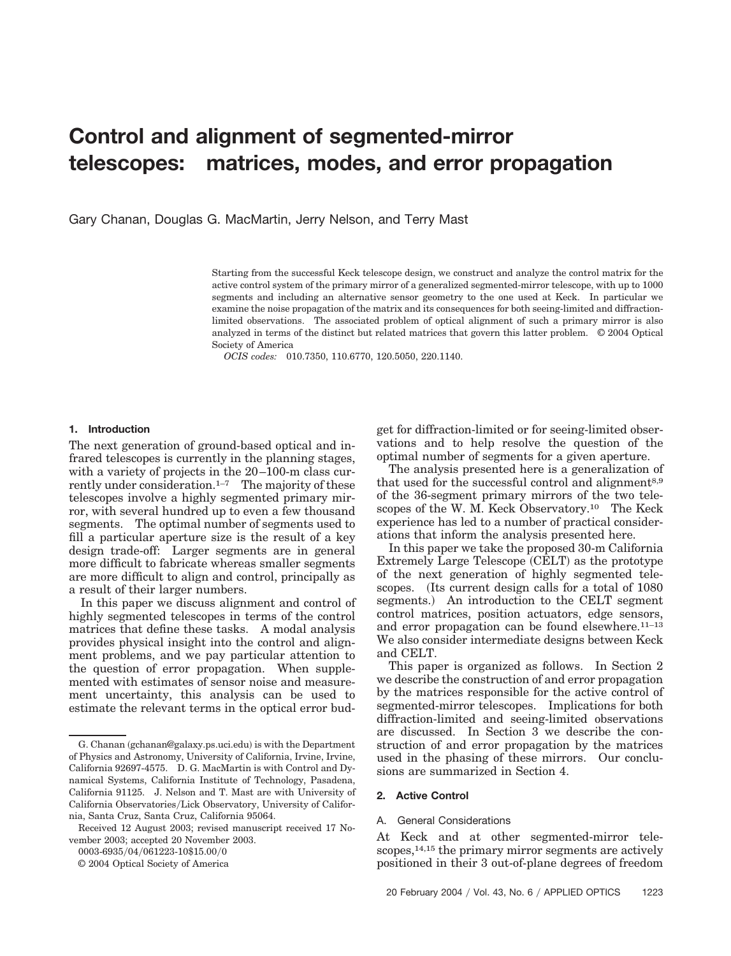# **Control and alignment of segmented-mirror telescopes: matrices, modes, and error propagation**

Gary Chanan, Douglas G. MacMartin, Jerry Nelson, and Terry Mast

Starting from the successful Keck telescope design, we construct and analyze the control matrix for the active control system of the primary mirror of a generalized segmented-mirror telescope, with up to 1000 segments and including an alternative sensor geometry to the one used at Keck. In particular we examine the noise propagation of the matrix and its consequences for both seeing-limited and diffractionlimited observations. The associated problem of optical alignment of such a primary mirror is also analyzed in terms of the distinct but related matrices that govern this latter problem. © 2004 Optical Society of America

*OCIS codes:* 010.7350, 110.6770, 120.5050, 220.1140.

## **1. Introduction**

The next generation of ground-based optical and infrared telescopes is currently in the planning stages, with a variety of projects in the 20–100-m class currently under consideration. $1-7$  The majority of these telescopes involve a highly segmented primary mirror, with several hundred up to even a few thousand segments. The optimal number of segments used to fill a particular aperture size is the result of a key design trade-off: Larger segments are in general more difficult to fabricate whereas smaller segments are more difficult to align and control, principally as a result of their larger numbers.

In this paper we discuss alignment and control of highly segmented telescopes in terms of the control matrices that define these tasks. A modal analysis provides physical insight into the control and alignment problems, and we pay particular attention to the question of error propagation. When supplemented with estimates of sensor noise and measurement uncertainty, this analysis can be used to estimate the relevant terms in the optical error bud-

0003-6935/04/061223-10\$15.00/0

© 2004 Optical Society of America

get for diffraction-limited or for seeing-limited observations and to help resolve the question of the optimal number of segments for a given aperture.

The analysis presented here is a generalization of that used for the successful control and alignment<sup>8,9</sup> of the 36-segment primary mirrors of the two telescopes of the W. M. Keck Observatory.10 The Keck experience has led to a number of practical considerations that inform the analysis presented here.

In this paper we take the proposed 30-m California Extremely Large Telescope (CELT) as the prototype of the next generation of highly segmented telescopes. (Its current design calls for a total of 1080) segments.) An introduction to the CELT segment control matrices, position actuators, edge sensors, and error propagation can be found elsewhere.11–13 We also consider intermediate designs between Keck and CELT.

This paper is organized as follows. In Section 2 we describe the construction of and error propagation by the matrices responsible for the active control of segmented-mirror telescopes. Implications for both diffraction-limited and seeing-limited observations are discussed. In Section 3 we describe the construction of and error propagation by the matrices used in the phasing of these mirrors. Our conclusions are summarized in Section 4.

#### **2. Active Control**

#### A. General Considerations

At Keck and at other segmented-mirror telescopes,14,15 the primary mirror segments are actively positioned in their 3 out-of-plane degrees of freedom

G. Chanan (gchanan@galaxy.ps.uci.edu) is with the Department of Physics and Astronomy, University of California, Irvine, Irvine, California 92697-4575. D. G. MacMartin is with Control and Dynamical Systems, California Institute of Technology, Pasadena, California 91125. J. Nelson and T. Mast are with University of California Observatories/Lick Observatory, University of California, Santa Cruz, Santa Cruz, California 95064.

Received 12 August 2003; revised manuscript received 17 November 2003; accepted 20 November 2003.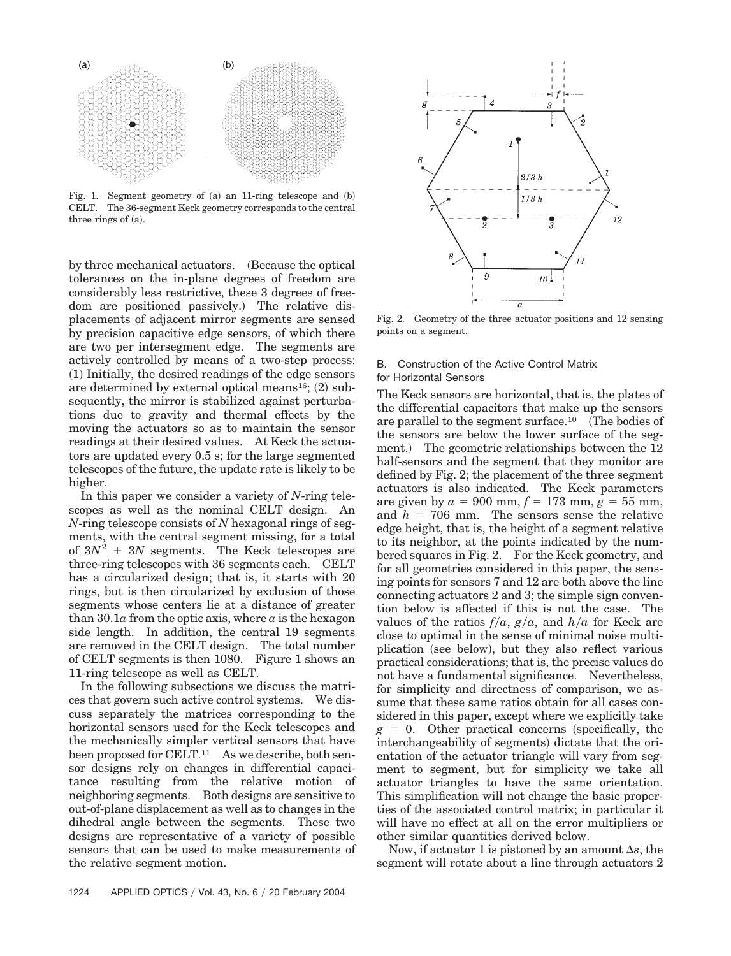

Fig. 1. Segment geometry of  $(a)$  an 11-ring telescope and  $(b)$ CELT. The 36-segment Keck geometry corresponds to the central three rings of  $(a)$ .

by three mechanical actuators. (Because the optical tolerances on the in-plane degrees of freedom are considerably less restrictive, these 3 degrees of freedom are positioned passively.) The relative displacements of adjacent mirror segments are sensed by precision capacitive edge sensors, of which there are two per intersegment edge. The segments are actively controlled by means of a two-step process: (1) Initially, the desired readings of the edge sensors are determined by external optical means<sup>16</sup>; (2) subsequently, the mirror is stabilized against perturbations due to gravity and thermal effects by the moving the actuators so as to maintain the sensor readings at their desired values. At Keck the actuators are updated every 0.5 s; for the large segmented telescopes of the future, the update rate is likely to be higher.

In this paper we consider a variety of *N*-ring telescopes as well as the nominal CELT design. An *N*-ring telescope consists of *N* hexagonal rings of segments, with the central segment missing, for a total of  $3N^2$  + 3*N* segments. The Keck telescopes are three-ring telescopes with 36 segments each. CELT has a circularized design; that is, it starts with 20 rings, but is then circularized by exclusion of those segments whose centers lie at a distance of greater than 30.1*a* from the optic axis, where *a* is the hexagon side length. In addition, the central 19 segments are removed in the CELT design. The total number of CELT segments is then 1080. Figure 1 shows an 11-ring telescope as well as CELT.

In the following subsections we discuss the matrices that govern such active control systems. We discuss separately the matrices corresponding to the horizontal sensors used for the Keck telescopes and the mechanically simpler vertical sensors that have been proposed for CELT.<sup>11</sup> As we describe, both sensor designs rely on changes in differential capacitance resulting from the relative motion of neighboring segments. Both designs are sensitive to out-of-plane displacement as well as to changes in the dihedral angle between the segments. These two designs are representative of a variety of possible sensors that can be used to make measurements of the relative segment motion.



Fig. 2. Geometry of the three actuator positions and 12 sensing points on a segment.

# B. Construction of the Active Control Matrix for Horizontal Sensors

The Keck sensors are horizontal, that is, the plates of the differential capacitors that make up the sensors are parallel to the segment surface.<sup>10</sup> (The bodies of the sensors are below the lower surface of the segment.) The geometric relationships between the 12 half-sensors and the segment that they monitor are defined by Fig. 2; the placement of the three segment actuators is also indicated. The Keck parameters are given by  $a = 900$  mm,  $f = 173$  mm,  $g = 55$  mm, and  $h = 706$  mm. The sensors sense the relative edge height, that is, the height of a segment relative to its neighbor, at the points indicated by the numbered squares in Fig. 2. For the Keck geometry, and for all geometries considered in this paper, the sensing points for sensors 7 and 12 are both above the line connecting actuators 2 and 3; the simple sign convention below is affected if this is not the case. The values of the ratios  $f/a$ ,  $g/a$ , and  $h/a$  for Keck are close to optimal in the sense of minimal noise multiplication (see below), but they also reflect various practical considerations; that is, the precise values do not have a fundamental significance. Nevertheless, for simplicity and directness of comparison, we assume that these same ratios obtain for all cases considered in this paper, except where we explicitly take  $g = 0$ . Other practical concerns (specifically, the interchangeability of segments) dictate that the orientation of the actuator triangle will vary from segment to segment, but for simplicity we take all actuator triangles to have the same orientation. This simplification will not change the basic properties of the associated control matrix; in particular it will have no effect at all on the error multipliers or other similar quantities derived below.

Now, if actuator 1 is pistoned by an amount  $\Delta s$ , the segment will rotate about a line through actuators 2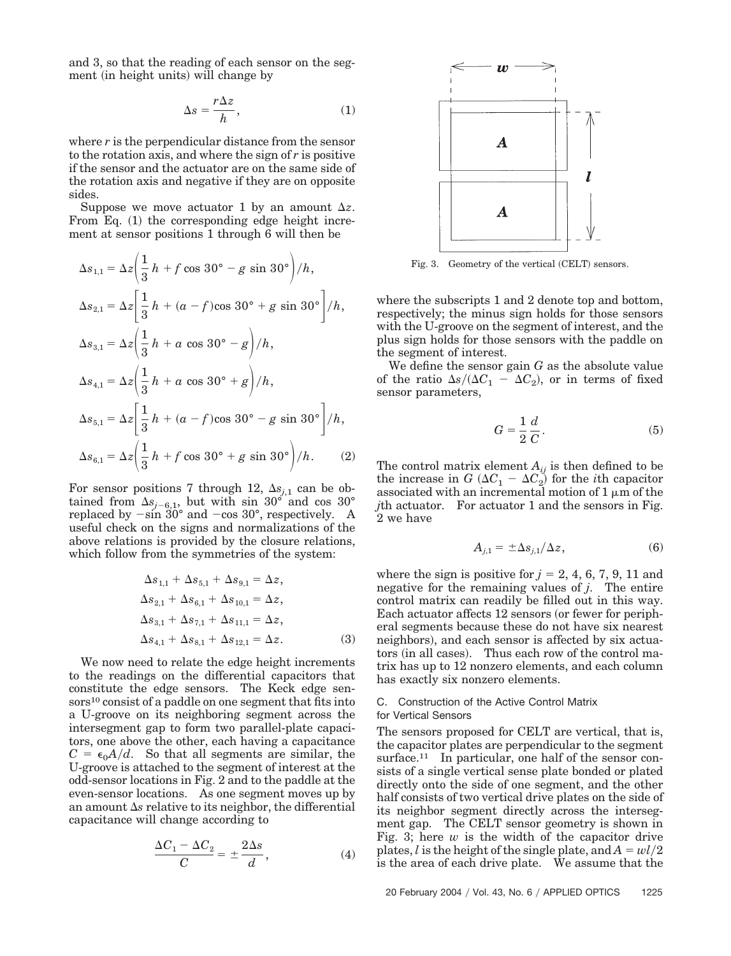and 3, so that the reading of each sensor on the segment (in height units) will change by

$$
\Delta s = \frac{r\Delta z}{h},\tag{1}
$$

where  $r$  is the perpendicular distance from the sensor to the rotation axis, and where the sign of *r* is positive if the sensor and the actuator are on the same side of the rotation axis and negative if they are on opposite sides.

Suppose we move actuator 1 by an amount  $\Delta z$ . From Eq. (1) the corresponding edge height increment at sensor positions 1 through 6 will then be

$$
\Delta s_{1,1} = \Delta z \left( \frac{1}{3} h + f \cos 30^\circ - g \sin 30^\circ \right) / h,
$$
  
\n
$$
\Delta s_{2,1} = \Delta z \left( \frac{1}{3} h + (a - f) \cos 30^\circ + g \sin 30^\circ \right) / h,
$$
  
\n
$$
\Delta s_{3,1} = \Delta z \left( \frac{1}{3} h + a \cos 30^\circ - g \right) / h,
$$
  
\n
$$
\Delta s_{4,1} = \Delta z \left( \frac{1}{3} h + a \cos 30^\circ + g \right) / h,
$$
  
\n
$$
\Delta s_{5,1} = \Delta z \left( \frac{1}{3} h + (a - f) \cos 30^\circ - g \sin 30^\circ \right) / h,
$$
  
\n
$$
\Delta s_{6,1} = \Delta z \left( \frac{1}{3} h + f \cos 30^\circ + g \sin 30^\circ \right) / h.
$$
 (2)

For sensor positions 7 through 12,  $\Delta s_{j,1}$  can be obtained from  $\Delta s_{j-6,1}$ , but with sin 30<sup>°</sup> and cos 30<sup>°</sup> replaced by  $-\sin 30^{\circ}$  and  $-\cos 30^{\circ}$ , respectively. A useful check on the signs and normalizations of the above relations is provided by the closure relations, which follow from the symmetries of the system:

$$
\Delta s_{1,1} + \Delta s_{5,1} + \Delta s_{9,1} = \Delta z,\n\Delta s_{2,1} + \Delta s_{6,1} + \Delta s_{10,1} = \Delta z,\n\Delta s_{3,1} + \Delta s_{7,1} + \Delta s_{11,1} = \Delta z,\n\Delta s_{4,1} + \Delta s_{8,1} + \Delta s_{12,1} = \Delta z.
$$
\n(3)

We now need to relate the edge height increments to the readings on the differential capacitors that constitute the edge sensors. The Keck edge sensors<sup>10</sup> consist of a paddle on one segment that fits into a U-groove on its neighboring segment across the intersegment gap to form two parallel-plate capacitors, one above the other, each having a capacitance  $C = \epsilon_0 A/d$ . So that all segments are similar, the U-groove is attached to the segment of interest at the odd-sensor locations in Fig. 2 and to the paddle at the even-sensor locations. As one segment moves up by an amount  $\Delta s$  relative to its neighbor, the differential capacitance will change according to

$$
\frac{\Delta C_1 - \Delta C_2}{C} = \pm \frac{2\Delta s}{d},\tag{4}
$$



Fig. 3. Geometry of the vertical (CELT) sensors.

where the subscripts 1 and 2 denote top and bottom, respectively; the minus sign holds for those sensors with the U-groove on the segment of interest, and the plus sign holds for those sensors with the paddle on the segment of interest.

We define the sensor gain *G* as the absolute value of the ratio  $\Delta s/(\Delta C_1 - \Delta C_2)$ , or in terms of fixed sensor parameters,

$$
G = \frac{1}{2} \frac{d}{C}.
$$
 (5)

The control matrix element  $A_{ij}$  is then defined to be the increase in  $G(\Delta C_1 - \Delta C_2)$  for the *i*th capacitor associated with an incremental motion of  $1 \mu m$  of the *j*th actuator. For actuator 1 and the sensors in Fig. 2 we have

$$
A_{j,1} = \pm \Delta s_{j,1} / \Delta z, \qquad (6)
$$

where the sign is positive for  $j = 2, 4, 6, 7, 9, 11$  and negative for the remaining values of *j*. The entire control matrix can readily be filled out in this way. Each actuator affects 12 sensors (or fewer for peripheral segments because these do not have six nearest neighbors), and each sensor is affected by six actuators (in all cases). Thus each row of the control matrix has up to 12 nonzero elements, and each column has exactly six nonzero elements.

## C. Construction of the Active Control Matrix for Vertical Sensors

The sensors proposed for CELT are vertical, that is, the capacitor plates are perpendicular to the segment surface.<sup>11</sup> In particular, one half of the sensor consists of a single vertical sense plate bonded or plated directly onto the side of one segment, and the other half consists of two vertical drive plates on the side of its neighbor segment directly across the intersegment gap. The CELT sensor geometry is shown in Fig. 3; here  $w$  is the width of the capacitor drive plates, *l* is the height of the single plate, and  $A = wl/2$ is the area of each drive plate. We assume that the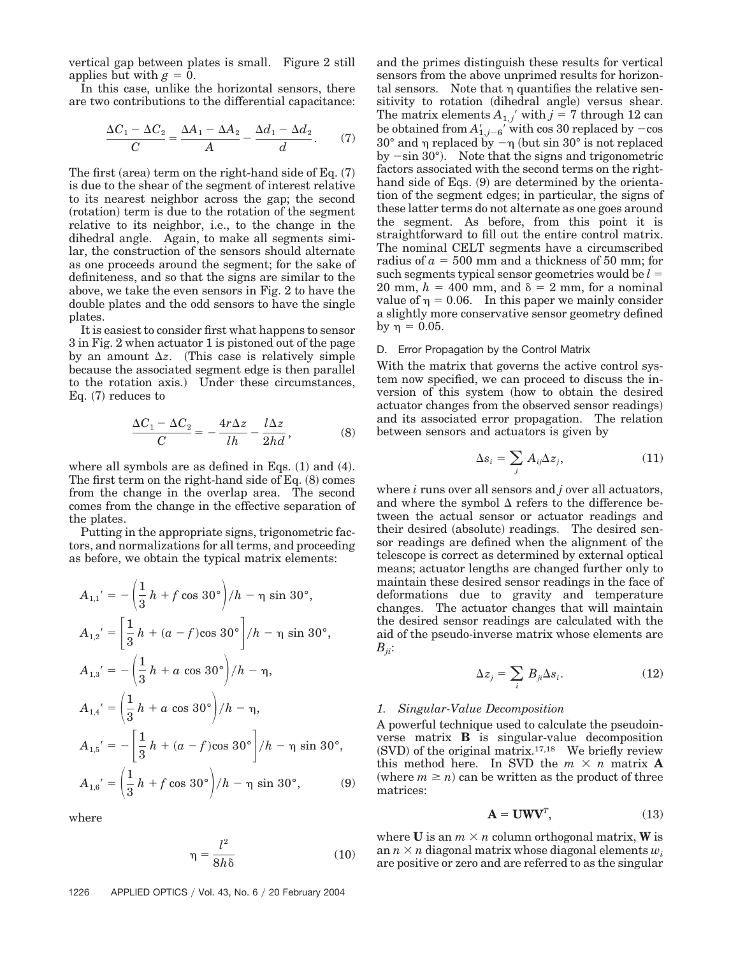vertical gap between plates is small. Figure 2 still applies but with  $g = 0$ .

In this case, unlike the horizontal sensors, there are two contributions to the differential capacitance:

$$
\frac{\Delta C_1 - \Delta C_2}{C} = \frac{\Delta A_1 - \Delta A_2}{A} - \frac{\Delta d_1 - \Delta d_2}{d}.
$$
 (7)

The first (area) term on the right-hand side of Eq.  $(7)$ is due to the shear of the segment of interest relative to its nearest neighbor across the gap; the second (rotation) term is due to the rotation of the segment relative to its neighbor, i.e., to the change in the dihedral angle. Again, to make all segments similar, the construction of the sensors should alternate as one proceeds around the segment; for the sake of definiteness, and so that the signs are similar to the above, we take the even sensors in Fig. 2 to have the double plates and the odd sensors to have the single plates.

It is easiest to consider first what happens to sensor 3 in Fig. 2 when actuator 1 is pistoned out of the page by an amount  $\Delta z$ . (This case is relatively simple because the associated segment edge is then parallel to the rotation axis.) Under these circumstances,  $Eq. (7)$  reduces to

$$
\frac{\Delta C_1 - \Delta C_2}{C} = -\frac{4r\Delta z}{lh} - \frac{l\Delta z}{2hd},
$$
 (8)

where all symbols are as defined in Eqs.  $(1)$  and  $(4)$ . The first term on the right-hand side of Eq.  $(8)$  comes from the change in the overlap area. The second comes from the change in the effective separation of the plates.

Putting in the appropriate signs, trigonometric factors, and normalizations for all terms, and proceeding as before, we obtain the typical matrix elements:

$$
A_{1,1}' = -\left(\frac{1}{3}h + f \cos 30^{\circ}\right)/h - \eta \sin 30^{\circ},
$$
  
\n
$$
A_{1,2}' = \left[\frac{1}{3}h + (a - f)\cos 30^{\circ}\right]/h - \eta \sin 30^{\circ},
$$
  
\n
$$
A_{1,3}' = -\left(\frac{1}{3}h + a \cos 30^{\circ}\right)/h - \eta,
$$
  
\n
$$
A_{1,4}' = \left(\frac{1}{3}h + a \cos 30^{\circ}\right)/h - \eta,
$$
  
\n
$$
A_{1,5}' = -\left[\frac{1}{3}h + (a - f)\cos 30^{\circ}\right]/h - \eta \sin 30^{\circ},
$$
  
\n
$$
A_{1,6}' = \left(\frac{1}{3}h + f \cos 30^{\circ}\right)/h - \eta \sin 30^{\circ},
$$
  
\n(9)

where

$$
\eta = \frac{l^2}{8h\delta} \tag{10}
$$

1226 APPLIED OPTICS / Vol. 43, No. 6 / 20 February 2004

and the primes distinguish these results for vertical sensors from the above unprimed results for horizontal sensors. Note that  $\eta$  quantifies the relative sensitivity to rotation (dihedral angle) versus shear. The matrix elements  $A_{1,j}$ <sup>'</sup> with  $j = 7$  through 12 can be obtained from  $A'_{1,j-6}^{\prime}$  with cos 30 replaced by  $-\cos$  $30^{\circ}$  and  $\eta$  replaced by  $-\eta$  (but sin  $30^{\circ}$  is not replaced by  $-\sin 30^\circ$ ). Note that the signs and trigonometric factors associated with the second terms on the righthand side of Eqs. (9) are determined by the orientation of the segment edges; in particular, the signs of these latter terms do not alternate as one goes around the segment. As before, from this point it is straightforward to fill out the entire control matrix. The nominal CELT segments have a circumscribed radius of  $a = 500$  mm and a thickness of 50 mm; for such segments typical sensor geometries would be  $l =$ 20 mm,  $h = 400$  mm, and  $\delta = 2$  mm, for a nominal value of  $\eta = 0.06$ . In this paper we mainly consider a slightly more conservative sensor geometry defined by  $\eta = 0.05$ .

# D. Error Propagation by the Control Matrix

With the matrix that governs the active control system now specified, we can proceed to discuss the inversion of this system (how to obtain the desired actuator changes from the observed sensor readings) and its associated error propagation. The relation between sensors and actuators is given by

$$
\Delta s_i = \sum_j A_{ij} \Delta z_j, \tag{11}
$$

where *i* runs over all sensors and *j* over all actuators, and where the symbol  $\Delta$  refers to the difference between the actual sensor or actuator readings and their desired (absolute) readings. The desired sensor readings are defined when the alignment of the telescope is correct as determined by external optical means; actuator lengths are changed further only to maintain these desired sensor readings in the face of deformations due to gravity and temperature changes. The actuator changes that will maintain the desired sensor readings are calculated with the aid of the pseudo-inverse matrix whose elements are *Bji*:

$$
\Delta z_j = \sum_i B_{ji} \Delta s_i. \tag{12}
$$

# *1. Singular-Value Decomposition*

A powerful technique used to calculate the pseudoinverse matrix **B** is singular-value decomposition  $(SVD)$  of the original matrix.<sup>17,18</sup> We briefly review this method here. In SVD the  $m \times n$  matrix **A** (where  $m \ge n$ ) can be written as the product of three matrices:

$$
\mathbf{A} = \mathbf{U}\mathbf{W}\mathbf{V}^T, \tag{13}
$$

where **U** is an  $m \times n$  column orthogonal matrix, **W** is an  $n \times n$  diagonal matrix whose diagonal elements  $w_i$ are positive or zero and are referred to as the singular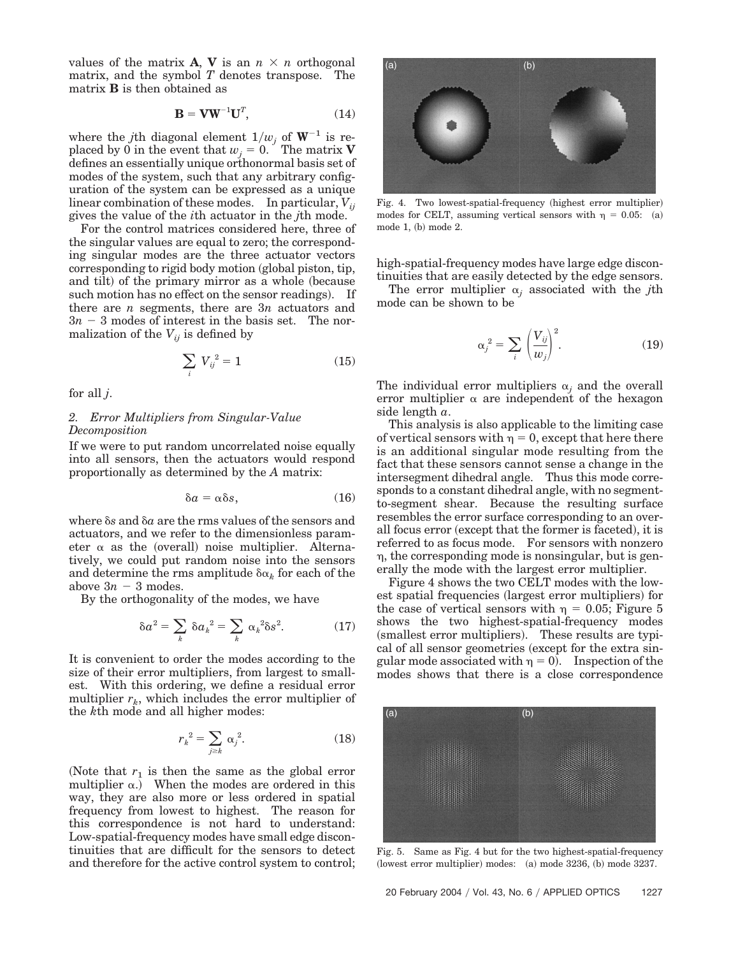values of the matrix **A**, **V** is an  $n \times n$  orthogonal matrix, and the symbol *T* denotes transpose. The matrix **B** is then obtained as

$$
\mathbf{B} = \mathbf{V}\mathbf{W}^{-1}\mathbf{U}^T, \tag{14}
$$

where the *j*th diagonal element  $1/w_i$  of  $W^{-1}$  is replaced by 0 in the event that  $w_i = 0$ . The matrix **V** defines an essentially unique orthonormal basis set of modes of the system, such that any arbitrary configuration of the system can be expressed as a unique linear combination of these modes. In particular,  $V_{ii}$ gives the value of the *i*th actuator in the *j*th mode.

For the control matrices considered here, three of the singular values are equal to zero; the corresponding singular modes are the three actuator vectors corresponding to rigid body motion global piston, tip, and tilt) of the primary mirror as a whole (because such motion has no effect on the sensor readings). If there are *n* segments, there are 3*n* actuators and  $3n - 3$  modes of interest in the basis set. The normalization of the  $V_{ij}$  is defined by

$$
\sum_{i} V_{ij}^{2} = 1 \tag{15}
$$

for all *j*.

# *2. Error Multipliers from Singular-Value Decomposition*

If we were to put random uncorrelated noise equally into all sensors, then the actuators would respond proportionally as determined by the *A* matrix:

$$
\delta a = \alpha \delta s, \qquad (16)
$$

where  $\delta s$  and  $\delta a$  are the rms values of the sensors and actuators, and we refer to the dimensionless parameter  $\alpha$  as the (overall) noise multiplier. Alternatively, we could put random noise into the sensors and determine the rms amplitude  $\delta \alpha_k$  for each of the above  $3n - 3$  modes.

By the orthogonality of the modes, we have

$$
\delta a^2 = \sum_k \delta a_k^2 = \sum_k \alpha_k^2 \delta s^2. \tag{17}
$$

It is convenient to order the modes according to the size of their error multipliers, from largest to smallest. With this ordering, we define a residual error multiplier  $r_k$ , which includes the error multiplier of the *k*th mode and all higher modes:

$$
r_k^2 = \sum_{j \ge k} \alpha_j^2. \tag{18}
$$

(Note that  $r_1$  is then the same as the global error multiplier  $\alpha$ .) When the modes are ordered in this way, they are also more or less ordered in spatial frequency from lowest to highest. The reason for this correspondence is not hard to understand: Low-spatial-frequency modes have small edge discontinuities that are difficult for the sensors to detect and therefore for the active control system to control;



Fig. 4. Two lowest-spatial-frequency (highest error multiplier) modes for CELT, assuming vertical sensors with  $\eta = 0.05$ : (a) mode 1, (b) mode 2.

high-spatial-frequency modes have large edge discontinuities that are easily detected by the edge sensors.

The error multiplier  $\alpha_i$  associated with the *j*th mode can be shown to be

$$
\alpha_j^2 = \sum_i \left(\frac{V_{ij}}{w_j}\right)^2.
$$
 (19)

The individual error multipliers  $\alpha_i$  and the overall error multiplier  $\alpha$  are independent of the hexagon side length *a*.

This analysis is also applicable to the limiting case of vertical sensors with  $\eta = 0$ , except that here there is an additional singular mode resulting from the fact that these sensors cannot sense a change in the intersegment dihedral angle. Thus this mode corresponds to a constant dihedral angle, with no segmentto-segment shear. Because the resulting surface resembles the error surface corresponding to an overall focus error (except that the former is faceted), it is referred to as focus mode. For sensors with nonzero , the corresponding mode is nonsingular, but is generally the mode with the largest error multiplier.

Figure 4 shows the two CELT modes with the lowest spatial frequencies (largest error multipliers) for the case of vertical sensors with  $\eta = 0.05$ ; Figure 5 shows the two highest-spatial-frequency modes (smallest error multipliers). These results are typical of all sensor geometries (except for the extra singular mode associated with  $\eta = 0$ . Inspection of the modes shows that there is a close correspondence



Fig. 5. Same as Fig. 4 but for the two highest-spatial-frequency (lowest error multiplier) modes: (a) mode 3236, (b) mode 3237.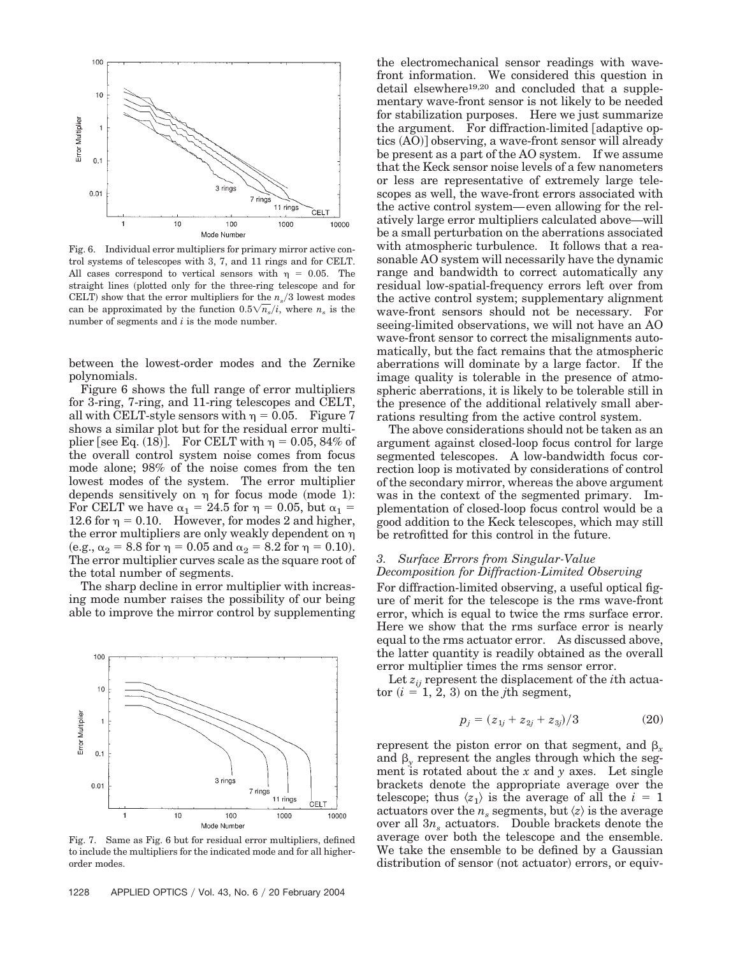

Fig. 6. Individual error multipliers for primary mirror active control systems of telescopes with 3, 7, and 11 rings and for CELT. All cases correspond to vertical sensors with  $\eta = 0.05$ . The straight lines (plotted only for the three-ring telescope and for CELT) show that the error multipliers for the  $n_s/3$  lowest modes can be approximated by the function  $0.5\sqrt{n_s}/i$ , where  $n_s$  is the number of segments and *i* is the mode number.

between the lowest-order modes and the Zernike polynomials.

Figure 6 shows the full range of error multipliers for 3-ring, 7-ring, and 11-ring telescopes and CELT, all with CELT-style sensors with  $\eta = 0.05$ . Figure 7 shows a similar plot but for the residual error multiplier [see Eq.  $(18)$ ]. For CELT with  $\eta = 0.05, 84\%$  of the overall control system noise comes from focus mode alone; 98% of the noise comes from the ten lowest modes of the system. The error multiplier depends sensitively on  $\eta$  for focus mode (mode 1): For CELT we have  $\alpha_1 = 24.5$  for  $\eta = 0.05$ , but  $\alpha_1 =$ 12.6 for  $\eta = 0.10$ . However, for modes 2 and higher, the error multipliers are only weakly dependent on (e.g.,  $\alpha_2 = 8.8$  for  $\eta = 0.05$  and  $\alpha_2 = 8.2$  for  $\eta = 0.10$ ). The error multiplier curves scale as the square root of the total number of segments.

The sharp decline in error multiplier with increasing mode number raises the possibility of our being able to improve the mirror control by supplementing



Fig. 7. Same as Fig. 6 but for residual error multipliers, defined to include the multipliers for the indicated mode and for all higherorder modes.

the electromechanical sensor readings with wavefront information. We considered this question in detail elsewhere<sup>19,20</sup> and concluded that a supplementary wave-front sensor is not likely to be needed for stabilization purposes. Here we just summarize the argument. For diffraction-limited  $\lceil$  adaptive optics (AO)] observing, a wave-front sensor will already be present as a part of the AO system. If we assume that the Keck sensor noise levels of a few nanometers or less are representative of extremely large telescopes as well, the wave-front errors associated with the active control system—even allowing for the relatively large error multipliers calculated above—will be a small perturbation on the aberrations associated with atmospheric turbulence. It follows that a reasonable AO system will necessarily have the dynamic range and bandwidth to correct automatically any residual low-spatial-frequency errors left over from the active control system; supplementary alignment wave-front sensors should not be necessary. For seeing-limited observations, we will not have an AO wave-front sensor to correct the misalignments automatically, but the fact remains that the atmospheric aberrations will dominate by a large factor. If the image quality is tolerable in the presence of atmospheric aberrations, it is likely to be tolerable still in the presence of the additional relatively small aberrations resulting from the active control system.

The above considerations should not be taken as an argument against closed-loop focus control for large segmented telescopes. A low-bandwidth focus correction loop is motivated by considerations of control of the secondary mirror, whereas the above argument was in the context of the segmented primary. Implementation of closed-loop focus control would be a good addition to the Keck telescopes, which may still be retrofitted for this control in the future.

# *3. Surface Errors from Singular-Value Decomposition for Diffraction-Limited Observing*

For diffraction-limited observing, a useful optical figure of merit for the telescope is the rms wave-front error, which is equal to twice the rms surface error. Here we show that the rms surface error is nearly equal to the rms actuator error. As discussed above, the latter quantity is readily obtained as the overall error multiplier times the rms sensor error.

Let  $z_{ii}$  represent the displacement of the *i*th actua- $\text{tor } (i = 1, 2, 3)$  on the *j*th segment,

$$
p_j = (z_{1j} + z_{2j} + z_{3j})/3 \tag{20}
$$

represent the piston error on that segment, and  $\beta_r$ and  $\beta_{\rm v}$  represent the angles through which the segment is rotated about the *x* and *y* axes. Let single brackets denote the appropriate average over the telescope; thus  $\langle z_1 \rangle$  is the average of all the  $i = 1$ actuators over the  $n_s$  segments, but  $\langle z \rangle$  is the average over all  $3n_s$  actuators. Double brackets denote the average over both the telescope and the ensemble. We take the ensemble to be defined by a Gaussian distribution of sensor (not actuator) errors, or equiv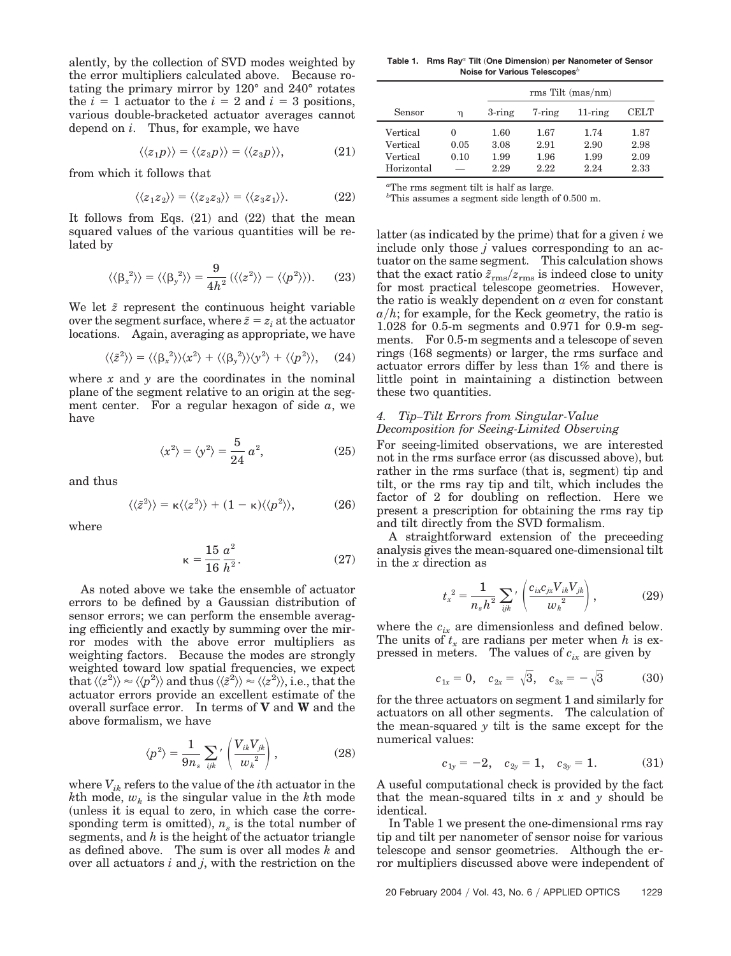alently, by the collection of SVD modes weighted by the error multipliers calculated above. Because rotating the primary mirror by 120° and 240° rotates the  $i = 1$  actuator to the  $i = 2$  and  $i = 3$  positions, various double-bracketed actuator averages cannot depend on *i*. Thus, for example, we have

$$
\langle \langle z_1 p \rangle \rangle = \langle \langle z_3 p \rangle \rangle = \langle \langle z_3 p \rangle \rangle, \tag{21}
$$

from which it follows that

$$
\langle \langle z_1 z_2 \rangle \rangle = \langle \langle z_2 z_3 \rangle \rangle = \langle \langle z_3 z_1 \rangle \rangle. \tag{22}
$$

It follows from Eqs.  $(21)$  and  $(22)$  that the mean squared values of the various quantities will be related by

$$
\langle \langle \beta_x^2 \rangle \rangle = \langle \langle \beta_y^2 \rangle \rangle = \frac{9}{4h^2} \left( \langle \langle z^2 \rangle \rangle - \langle \langle p^2 \rangle \rangle \right). \tag{23}
$$

We let  $\tilde{z}$  represent the continuous height variable over the segment surface, where  $\tilde{z} = z_i$  at the actuator locations. Again, averaging as appropriate, we have

$$
\langle \langle \tilde{z}^2 \rangle \rangle = \langle \langle \beta_x^2 \rangle \rangle \langle x^2 \rangle + \langle \langle \beta_y^2 \rangle \rangle \langle y^2 \rangle + \langle \langle p^2 \rangle \rangle, \quad (24)
$$

where  $x$  and  $y$  are the coordinates in the nominal plane of the segment relative to an origin at the segment center. For a regular hexagon of side *a*, we have

$$
\langle x^2 \rangle = \langle y^2 \rangle = \frac{5}{24} a^2,\tag{25}
$$

and thus

$$
\langle \langle \tilde{z}^2 \rangle \rangle = \kappa \langle \langle z^2 \rangle \rangle + (1 - \kappa) \langle \langle p^2 \rangle \rangle, \tag{26}
$$

where

$$
\kappa = \frac{15}{16} \frac{a^2}{h^2}.
$$
 (27)

As noted above we take the ensemble of actuator errors to be defined by a Gaussian distribution of sensor errors; we can perform the ensemble averaging efficiently and exactly by summing over the mirror modes with the above error multipliers as weighting factors. Because the modes are strongly weighted toward low spatial frequencies, we expect  $\langle \langle z^2 \rangle \rangle \approx \langle \langle p^2 \rangle \rangle$  and thus  $\langle \langle \tilde{z}^2 \rangle \rangle \approx \langle \langle z^2 \rangle \rangle$ , i.e., that the actuator errors provide an excellent estimate of the overall surface error. In terms of **V** and **W** and the above formalism, we have

$$
\langle p^2 \rangle = \frac{1}{9n_s} \sum_{ijk'} \left( \frac{V_{ik} V_{jk}}{w_k^2} \right), \tag{28}
$$

where *Vik* refers to the value of the *i*th actuator in the *k*th mode,  $w_k$  is the singular value in the *k*th mode unless it is equal to zero, in which case the corresponding term is omitted),  $n_s$  is the total number of segments, and *h* is the height of the actuator triangle as defined above. The sum is over all modes *k* and over all actuators *i* and *j*, with the restriction on the

**Table 1. Rms Ray***<sup>a</sup>* **Tilt One Dimension**- **per Nanometer of Sensor Noise for Various Telescopes***<sup>b</sup>*

|            |          | $rms$ Tilt (mas/nm) |        |            |             |
|------------|----------|---------------------|--------|------------|-------------|
| Sensor     | η        | $3$ -ring           | 7-ring | $11$ -ring | <b>CELT</b> |
| Vertical   | $\Omega$ | 1.60                | 1.67   | 1.74       | 1.87        |
| Vertical   | 0.05     | 3.08                | 2.91   | 2.90       | 2.98        |
| Vertical   | 0.10     | 1.99                | 1.96   | 1.99       | 2.09        |
| Horizontal |          | 2.29                | 2.22   | 2.24       | 2.33        |

*a* The rms segment tilt is half as large.

*b* This assumes a segment side length of 0.500 m.

latter (as indicated by the prime) that for a given *i* we include only those *j* values corresponding to an actuator on the same segment. This calculation shows that the exact ratio  $\tilde{z}_{\rm rms}/z_{\rm rms}$  is indeed close to unity for most practical telescope geometries. However, the ratio is weakly dependent on *a* even for constant  $a/h$ ; for example, for the Keck geometry, the ratio is 1.028 for 0.5-m segments and 0.971 for 0.9-m segments. For 0.5-m segments and a telescope of seven rings (168 segments) or larger, the rms surface and actuator errors differ by less than 1% and there is little point in maintaining a distinction between these two quantities.

# *4. Tip–Tilt Errors from Singular-Value Decomposition for Seeing-Limited Observing*

For seeing-limited observations, we are interested not in the rms surface error (as discussed above), but rather in the rms surface (that is, segment) tip and tilt, or the rms ray tip and tilt, which includes the factor of 2 for doubling on reflection. Here we present a prescription for obtaining the rms ray tip and tilt directly from the SVD formalism.

A straightforward extension of the preceeding analysis gives the mean-squared one-dimensional tilt in the *x* direction as

$$
t_x^{2} = \frac{1}{n_s h^2} \sum_{ijk} \left( \frac{c_{ix} c_{jk} V_{ik} V_{jk}}{w_k^{2}} \right), \tag{29}
$$

where the  $c_{ix}$  are dimensionless and defined below. The units of  $t_x$  are radians per meter when  $h$  is expressed in meters. The values of  $c_{ix}$  are given by

$$
c_{1x} = 0
$$
,  $c_{2x} = \sqrt{3}$ ,  $c_{3x} = -\sqrt{3}$  (30)

for the three actuators on segment 1 and similarly for actuators on all other segments. The calculation of the mean-squared *y* tilt is the same except for the numerical values:

$$
c_{1y} = -2, \quad c_{2y} = 1, \quad c_{3y} = 1. \tag{31}
$$

A useful computational check is provided by the fact that the mean-squared tilts in *x* and *y* should be identical.

In Table 1 we present the one-dimensional rms ray tip and tilt per nanometer of sensor noise for various telescope and sensor geometries. Although the error multipliers discussed above were independent of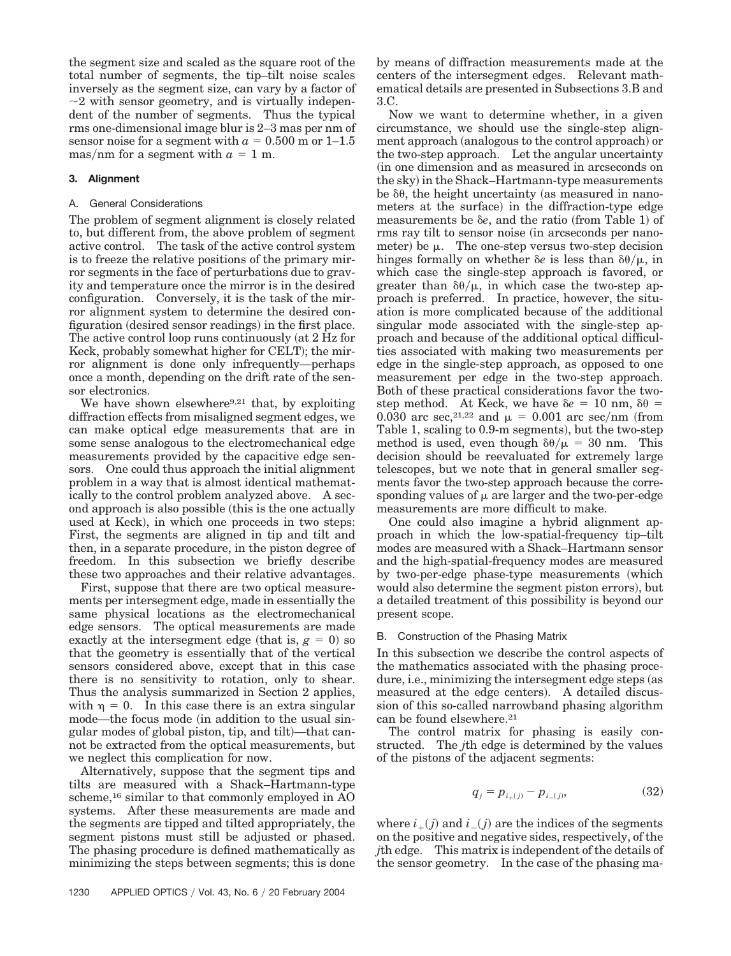the segment size and scaled as the square root of the total number of segments, the tip–tilt noise scales inversely as the segment size, can vary by a factor of  $\sim$ 2 with sensor geometry, and is virtually independent of the number of segments. Thus the typical rms one-dimensional image blur is 2–3 mas per nm of sensor noise for a segment with  $a = 0.500$  m or 1–1.5 mas/nm for a segment with  $a = 1$  m.

# **3. Alignment**

## A. General Considerations

The problem of segment alignment is closely related to, but different from, the above problem of segment active control. The task of the active control system is to freeze the relative positions of the primary mirror segments in the face of perturbations due to gravity and temperature once the mirror is in the desired configuration. Conversely, it is the task of the mirror alignment system to determine the desired configuration (desired sensor readings) in the first place. The active control loop runs continuously (at 2 Hz for Keck, probably somewhat higher for CELT); the mirror alignment is done only infrequently—perhaps once a month, depending on the drift rate of the sensor electronics.

We have shown elsewhere<sup>9,21</sup> that, by exploiting diffraction effects from misaligned segment edges, we can make optical edge measurements that are in some sense analogous to the electromechanical edge measurements provided by the capacitive edge sensors. One could thus approach the initial alignment problem in a way that is almost identical mathematically to the control problem analyzed above. A second approach is also possible (this is the one actually used at Keck), in which one proceeds in two steps: First, the segments are aligned in tip and tilt and then, in a separate procedure, in the piston degree of freedom. In this subsection we briefly describe these two approaches and their relative advantages.

First, suppose that there are two optical measurements per intersegment edge, made in essentially the same physical locations as the electromechanical edge sensors. The optical measurements are made exactly at the intersegment edge (that is,  $g = 0$ ) so that the geometry is essentially that of the vertical sensors considered above, except that in this case there is no sensitivity to rotation, only to shear. Thus the analysis summarized in Section 2 applies, with  $\eta = 0$ . In this case there is an extra singular mode—the focus mode (in addition to the usual singular modes of global piston, tip, and tilt)—that cannot be extracted from the optical measurements, but we neglect this complication for now.

Alternatively, suppose that the segment tips and tilts are measured with a Shack–Hartmann-type scheme,16 similar to that commonly employed in AO systems. After these measurements are made and the segments are tipped and tilted appropriately, the segment pistons must still be adjusted or phased. The phasing procedure is defined mathematically as minimizing the steps between segments; this is done

by means of diffraction measurements made at the centers of the intersegment edges. Relevant mathematical details are presented in Subsections 3.B and 3.C.

Now we want to determine whether, in a given circumstance, we should use the single-step alignment approach (analogous to the control approach) or the two-step approach. Let the angular uncertainty in one dimension and as measured in arcseconds on the sky) in the Shack–Hartmann-type measurements be  $\delta\theta$ , the height uncertainty (as measured in nanometers at the surface) in the diffraction-type edge measurements be  $\delta e$ , and the ratio (from Table 1) of rms ray tilt to sensor noise (in arcseconds per nanometer) be  $\mu$ . The one-step versus two-step decision hinges formally on whether  $\delta e$  is less than  $\delta \theta / \mu$ , in which case the single-step approach is favored, or greater than  $\delta\theta/\mu$ , in which case the two-step approach is preferred. In practice, however, the situation is more complicated because of the additional singular mode associated with the single-step approach and because of the additional optical difficulties associated with making two measurements per edge in the single-step approach, as opposed to one measurement per edge in the two-step approach. Both of these practical considerations favor the twostep method. At Keck, we have  $\delta e = 10$  nm,  $\delta \theta =$ 0.030 arc sec,<sup>21,22</sup> and  $\mu = 0.001$  arc sec/nm (from Table 1, scaling to 0.9-m segments), but the two-step method is used, even though  $\delta\theta/\mu = 30$  nm. This decision should be reevaluated for extremely large telescopes, but we note that in general smaller segments favor the two-step approach because the corresponding values of  $\mu$  are larger and the two-per-edge measurements are more difficult to make.

One could also imagine a hybrid alignment approach in which the low-spatial-frequency tip–tilt modes are measured with a Shack–Hartmann sensor and the high-spatial-frequency modes are measured by two-per-edge phase-type measurements (which would also determine the segment piston errors), but a detailed treatment of this possibility is beyond our present scope.

### B. Construction of the Phasing Matrix

In this subsection we describe the control aspects of the mathematics associated with the phasing procedure, i.e., minimizing the intersegment edge steps (as measured at the edge centers). A detailed discussion of this so-called narrowband phasing algorithm can be found elsewhere.<sup>21</sup>

The control matrix for phasing is easily constructed. The *j*th edge is determined by the values of the pistons of the adjacent segments:

$$
q_j = p_{i_{+}(j)} - p_{i_{-}(j)}, \tag{32}
$$

where  $i_{+}(j)$  and  $i_{-}(j)$  are the indices of the segments on the positive and negative sides, respectively, of the *j*th edge. This matrix is independent of the details of the sensor geometry. In the case of the phasing ma-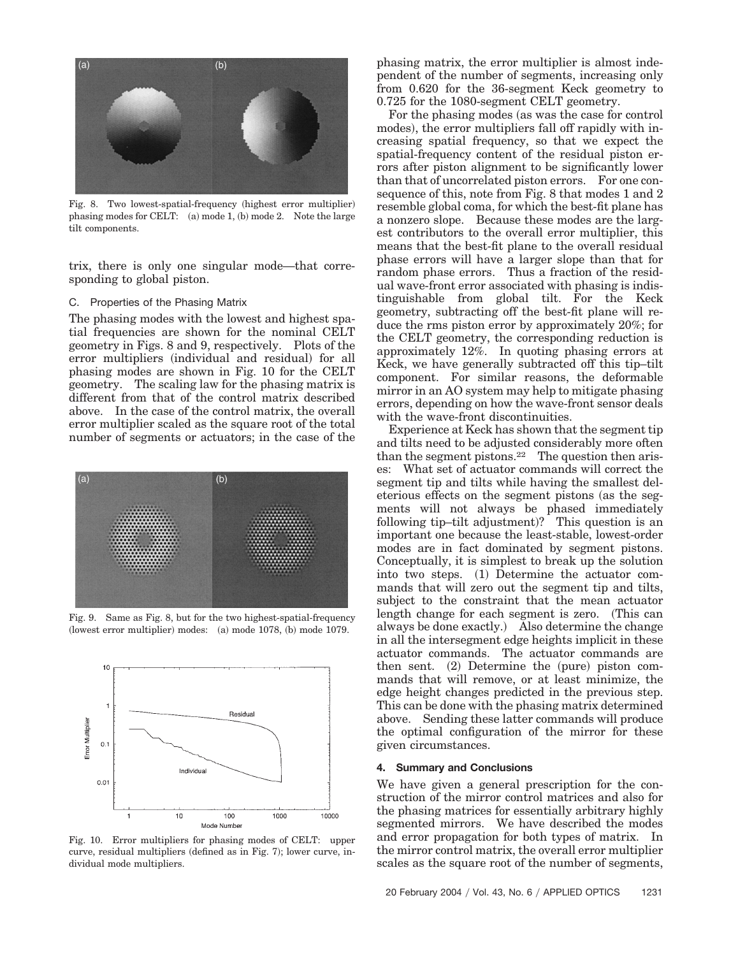

Fig. 8. Two lowest-spatial-frequency (highest error multiplier) phasing modes for CELT: (a) mode 1, (b) mode 2. Note the large tilt components.

trix, there is only one singular mode—that corresponding to global piston.

#### C. Properties of the Phasing Matrix

The phasing modes with the lowest and highest spatial frequencies are shown for the nominal CELT geometry in Figs. 8 and 9, respectively. Plots of the error multipliers (individual and residual) for all phasing modes are shown in Fig. 10 for the CELT geometry. The scaling law for the phasing matrix is different from that of the control matrix described above. In the case of the control matrix, the overall error multiplier scaled as the square root of the total number of segments or actuators; in the case of the



Fig. 9. Same as Fig. 8, but for the two highest-spatial-frequency (lowest error multiplier) modes: (a) mode 1078, (b) mode 1079.



Fig. 10. Error multipliers for phasing modes of CELT: upper curve, residual multipliers (defined as in Fig. 7); lower curve, individual mode multipliers.

phasing matrix, the error multiplier is almost independent of the number of segments, increasing only from 0.620 for the 36-segment Keck geometry to 0.725 for the 1080-segment CELT geometry.

For the phasing modes (as was the case for control modes), the error multipliers fall off rapidly with increasing spatial frequency, so that we expect the spatial-frequency content of the residual piston errors after piston alignment to be significantly lower than that of uncorrelated piston errors. For one consequence of this, note from Fig. 8 that modes 1 and 2 resemble global coma, for which the best-fit plane has a nonzero slope. Because these modes are the largest contributors to the overall error multiplier, this means that the best-fit plane to the overall residual phase errors will have a larger slope than that for random phase errors. Thus a fraction of the residual wave-front error associated with phasing is indistinguishable from global tilt. For the Keck geometry, subtracting off the best-fit plane will reduce the rms piston error by approximately 20%; for the CELT geometry, the corresponding reduction is approximately 12%. In quoting phasing errors at Keck, we have generally subtracted off this tip–tilt component. For similar reasons, the deformable mirror in an AO system may help to mitigate phasing errors, depending on how the wave-front sensor deals with the wave-front discontinuities.

Experience at Keck has shown that the segment tip and tilts need to be adjusted considerably more often than the segment pistons.<sup>22</sup> The question then arises: What set of actuator commands will correct the segment tip and tilts while having the smallest deleterious effects on the segment pistons (as the segments will not always be phased immediately following tip-tilt adjustment)? This question is an important one because the least-stable, lowest-order modes are in fact dominated by segment pistons. Conceptually, it is simplest to break up the solution into two steps. (1) Determine the actuator commands that will zero out the segment tip and tilts, subject to the constraint that the mean actuator length change for each segment is zero. This can always be done exactly.) Also determine the change in all the intersegment edge heights implicit in these actuator commands. The actuator commands are then sent.  $(2)$  Determine the (pure) piston commands that will remove, or at least minimize, the edge height changes predicted in the previous step. This can be done with the phasing matrix determined above. Sending these latter commands will produce the optimal configuration of the mirror for these given circumstances.

#### **4. Summary and Conclusions**

We have given a general prescription for the construction of the mirror control matrices and also for the phasing matrices for essentially arbitrary highly segmented mirrors. We have described the modes and error propagation for both types of matrix. In the mirror control matrix, the overall error multiplier scales as the square root of the number of segments,